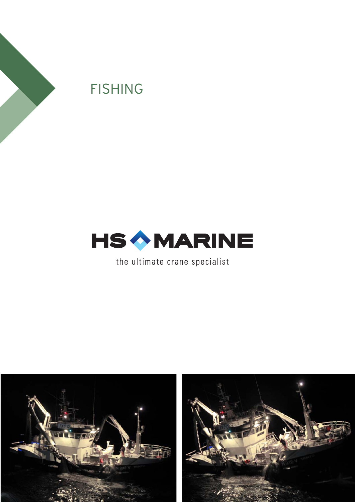



the ultimate crane specialist



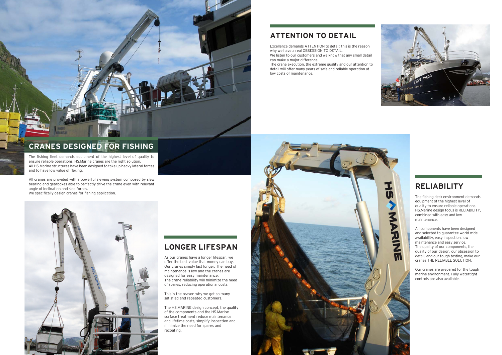## **RELIABILITY**

The fishing deck environment demands equipment of the highest level of quality to ensure reliable operations. HS.Marine design focus is RELIABILITY, combined with easy and low maintenance.

All components have been designed and selected to guarantee world wide availability, easy inspection, low maintenance and easy service. The quality of our components, the quality of our design, our obsession to detail, and our tough testing, make our cranes THE RELIABLE SOLUTION.

Ž

 $\overline{11}$ 

Our cranes are prepared for the tough marine environment. Fully watertight controls are also available.

Excellence demands ATTENTION to detail: this is the reason why we have a real OBSESSION TO DETAIL. We listen to our customers and we know that any small detail

## **LONGER LIFESPAN**

As our cranes have a longer lifespan, we offer the best value that money can buy. Our cranes simply last longer. The need of maintenance is low and the cranes are designed for easy maintenance. The crane reliability will minimize the need of spares, reducing operational costs.

This is the reason why we get so many satisfied and repeated customers.

The HS.MARINE design concept, the quality of the components and the HS.Marine surface treatment reduce maintenance and lifetime costs, simplify inspection and minimize the need for spares and recoating.

## **ATTENTION TO DETAIL**

can make a major difference. The crane execution, the extreme quality and our attention to

detail will offer many years of safe and reliable operation at low costs of maintenance.







# **CRANES DESIGNED FOR FISHING**

The fishing fleet demands equipment of the highest level of quality to ensure reliable operations. HS.Marine cranes are the right solution. All HS.Marine structures have been designed to take up heavy lateral forces and to have low value of flexing.

All cranes are provided with a powerful slewing system composed by slew bearing and gearboxes able to perfectly drive the crane even with relevant angle of inclination and side forces.

We specifically design cranes for fishing application.